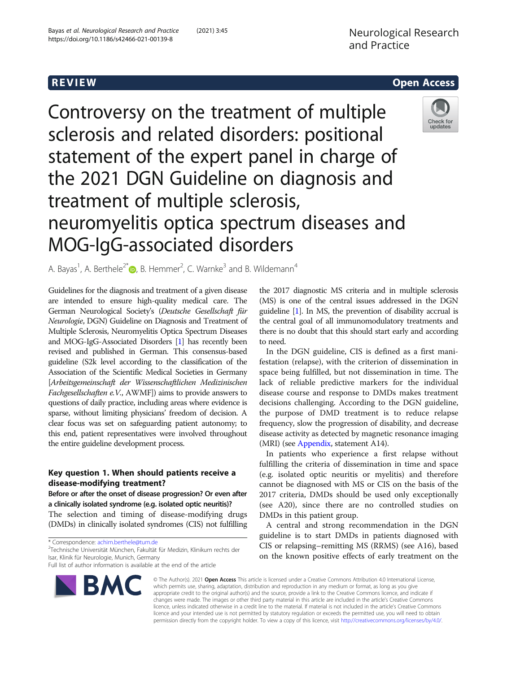# **REVIEW CONSTRUCTION CONSTRUCTION CONSTRUCTS**



Controversy on the treatment of multiple sclerosis and related disorders: positional statement of the expert panel in charge of the 2021 DGN Guideline on diagnosis and treatment of multiple sclerosis, neuromyelitis optica spectrum diseases and MOG-IgG-associated disorders

A. Bayas<sup>1</sup>, A. Berthele<sup>2[\\*](http://orcid.org/0000-0001-9650-6222)</sup> <sub>(b</sub>, B. Hemmer<sup>2</sup>, C. Warnke<sup>3</sup> and B. Wildemann<sup>4</sup>

Guidelines for the diagnosis and treatment of a given disease are intended to ensure high-quality medical care. The German Neurological Society's (Deutsche Gesellschaft für Neurologie, DGN) Guideline on Diagnosis and Treatment of Multiple Sclerosis, Neuromyelitis Optica Spectrum Diseases and MOG-IgG-Associated Disorders [\[1\]](#page-6-0) has recently been revised and published in German. This consensus-based guideline (S2k level according to the classification of the Association of the Scientific Medical Societies in Germany [Arbeitsgemeinschaft der Wissenschaftlichen Medizinischen Fachgesellschaften e.V., AWMF]) aims to provide answers to questions of daily practice, including areas where evidence is sparse, without limiting physicians' freedom of decision. A clear focus was set on safeguarding patient autonomy; to this end, patient representatives were involved throughout the entire guideline development process.

## Key question 1. When should patients receive a disease-modifying treatment?

Before or after the onset of disease progression? Or even after a clinically isolated syndrome (e.g. isolated optic neuritis)? The selection and timing of disease-modifying drugs (DMDs) in clinically isolated syndromes (CIS) not fulfilling

\* Correspondence: [achim.berthele@tum.de](mailto:achim.berthele@tum.de) <sup>2</sup>

<sup>2</sup>Technische Universität München, Fakultät für Medizin, Klinikum rechts der Isar, Klinik für Neurologie, Munich, Germany

Full list of author information is available at the end of the article



the 2017 diagnostic MS criteria and in multiple sclerosis (MS) is one of the central issues addressed in the DGN guideline [[1](#page-6-0)]. In MS, the prevention of disability accrual is the central goal of all immunomodulatory treatments and there is no doubt that this should start early and according to need.

In the DGN guideline, CIS is defined as a first manifestation (relapse), with the criterion of dissemination in space being fulfilled, but not dissemination in time. The lack of reliable predictive markers for the individual disease course and response to DMDs makes treatment decisions challenging. According to the DGN guideline, the purpose of DMD treatment is to reduce relapse frequency, slow the progression of disability, and decrease disease activity as detected by magnetic resonance imaging (MRI) (see [Appendix,](#page-4-0) statement A14).

In patients who experience a first relapse without fulfilling the criteria of dissemination in time and space (e.g. isolated optic neuritis or myelitis) and therefore cannot be diagnosed with MS or CIS on the basis of the 2017 criteria, DMDs should be used only exceptionally (see A20), since there are no controlled studies on DMDs in this patient group.

A central and strong recommendation in the DGN guideline is to start DMDs in patients diagnosed with CIS or relapsing–remitting MS (RRMS) (see A16), based on the known positive effects of early treatment on the

© The Author(s). 2021 Open Access This article is licensed under a Creative Commons Attribution 4.0 International License, which permits use, sharing, adaptation, distribution and reproduction in any medium or format, as long as you give appropriate credit to the original author(s) and the source, provide a link to the Creative Commons licence, and indicate if changes were made. The images or other third party material in this article are included in the article's Creative Commons licence, unless indicated otherwise in a credit line to the material. If material is not included in the article's Creative Commons licence and your intended use is not permitted by statutory regulation or exceeds the permitted use, you will need to obtain permission directly from the copyright holder. To view a copy of this licence, visit [http://creativecommons.org/licenses/by/4.0/.](http://creativecommons.org/licenses/by/4.0/)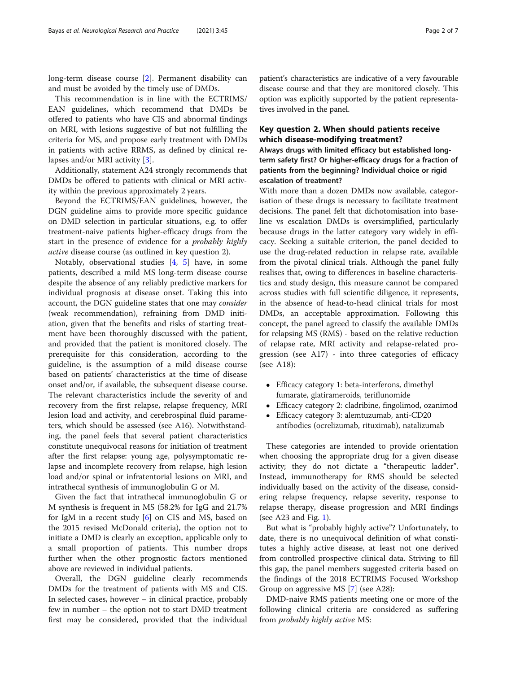long-term disease course [[2](#page-6-0)]. Permanent disability can and must be avoided by the timely use of DMDs.

This recommendation is in line with the ECTRIMS/ EAN guidelines, which recommend that DMDs be offered to patients who have CIS and abnormal findings on MRI, with lesions suggestive of but not fulfilling the criteria for MS, and propose early treatment with DMDs in patients with active RRMS, as defined by clinical relapses and/or MRI activity [[3\]](#page-6-0).

Additionally, statement A24 strongly recommends that DMDs be offered to patients with clinical or MRI activity within the previous approximately 2 years.

Beyond the ECTRIMS/EAN guidelines, however, the DGN guideline aims to provide more specific guidance on DMD selection in particular situations, e.g. to offer treatment-naive patients higher-efficacy drugs from the start in the presence of evidence for a probably highly active disease course (as outlined in key question 2).

Notably, observational studies [\[4,](#page-6-0) [5\]](#page-6-0) have, in some patients, described a mild MS long-term disease course despite the absence of any reliably predictive markers for individual prognosis at disease onset. Taking this into account, the DGN guideline states that one may consider (weak recommendation), refraining from DMD initiation, given that the benefits and risks of starting treatment have been thoroughly discussed with the patient, and provided that the patient is monitored closely. The prerequisite for this consideration, according to the guideline, is the assumption of a mild disease course based on patients' characteristics at the time of disease onset and/or, if available, the subsequent disease course. The relevant characteristics include the severity of and recovery from the first relapse, relapse frequency, MRI lesion load and activity, and cerebrospinal fluid parameters, which should be assessed (see A16). Notwithstanding, the panel feels that several patient characteristics constitute unequivocal reasons for initiation of treatment after the first relapse: young age, polysymptomatic relapse and incomplete recovery from relapse, high lesion load and/or spinal or infratentorial lesions on MRI, and intrathecal synthesis of immunoglobulin G or M.

Given the fact that intrathecal immunoglobulin G or M synthesis is frequent in MS (58.2% for IgG and 21.7% for IgM in a recent study [\[6](#page-6-0)] on CIS and MS, based on the 2015 revised McDonald criteria), the option not to initiate a DMD is clearly an exception, applicable only to a small proportion of patients. This number drops further when the other prognostic factors mentioned above are reviewed in individual patients.

Overall, the DGN guideline clearly recommends DMDs for the treatment of patients with MS and CIS. In selected cases, however  $-$  in clinical practice, probably few in number – the option not to start DMD treatment first may be considered, provided that the individual

patient's characteristics are indicative of a very favourable disease course and that they are monitored closely. This option was explicitly supported by the patient representatives involved in the panel.

### Key question 2. When should patients receive which disease-modifying treatment?

Always drugs with limited efficacy but established longterm safety first? Or higher-efficacy drugs for a fraction of patients from the beginning? Individual choice or rigid escalation of treatment?

With more than a dozen DMDs now available, categorisation of these drugs is necessary to facilitate treatment decisions. The panel felt that dichotomisation into baseline vs escalation DMDs is oversimplified, particularly because drugs in the latter category vary widely in efficacy. Seeking a suitable criterion, the panel decided to use the drug-related reduction in relapse rate, available from the pivotal clinical trials. Although the panel fully realises that, owing to differences in baseline characteristics and study design, this measure cannot be compared across studies with full scientific diligence, it represents, in the absence of head-to-head clinical trials for most DMDs, an acceptable approximation. Following this concept, the panel agreed to classify the available DMDs for relapsing MS (RMS) - based on the relative reduction of relapse rate, MRI activity and relapse-related progression (see A17) - into three categories of efficacy (see A18):

- Efficacy category 1: beta-interferons, dimethyl fumarate, glatirameroids, teriflunomide
- Efficacy category 2: cladribine, fingolimod, ozanimod
- Efficacy category 3: alemtuzumab, anti-CD20 antibodies (ocrelizumab, rituximab), natalizumab

These categories are intended to provide orientation when choosing the appropriate drug for a given disease activity; they do not dictate a "therapeutic ladder". Instead, immunotherapy for RMS should be selected individually based on the activity of the disease, considering relapse frequency, relapse severity, response to relapse therapy, disease progression and MRI findings (see A23 and Fig.  $1$ ).

But what is "probably highly active"? Unfortunately, to date, there is no unequivocal definition of what constitutes a highly active disease, at least not one derived from controlled prospective clinical data. Striving to fill this gap, the panel members suggested criteria based on the findings of the 2018 ECTRIMS Focused Workshop Group on aggressive MS [[7\]](#page-6-0) (see A28):

DMD-naive RMS patients meeting one or more of the following clinical criteria are considered as suffering from probably highly active MS: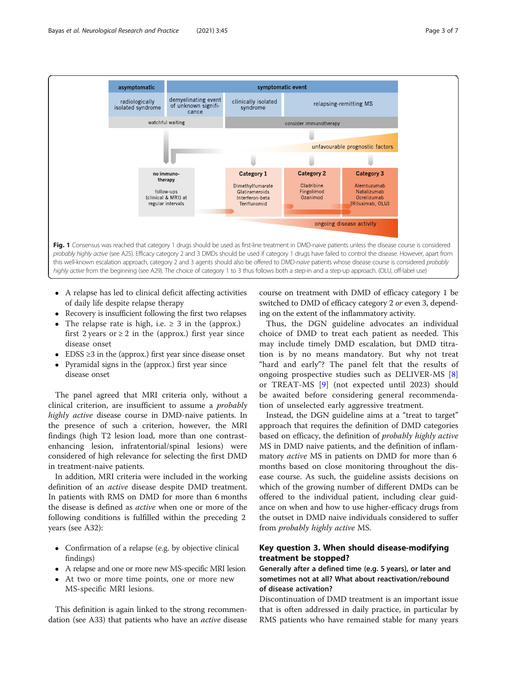<span id="page-2-0"></span>

- A relapse has led to clinical deficit affecting activities of daily life despite relapse therapy
- Recovery is insufficient following the first two relapses
- The relapse rate is high, i.e.  $\geq$  3 in the (approx.) first 2 years or  $\geq 2$  in the (approx.) first year since disease onset
- $\bullet$  EDSS  $\geq$ 3 in the (approx.) first year since disease onset
- Pyramidal signs in the (approx.) first year since disease onset

The panel agreed that MRI criteria only, without a clinical criterion, are insufficient to assume a probably highly active disease course in DMD-naive patients. In the presence of such a criterion, however, the MRI findings (high T2 lesion load, more than one contrastenhancing lesion, infratentorial/spinal lesions) were considered of high relevance for selecting the first DMD in treatment-naive patients.

In addition, MRI criteria were included in the working definition of an active disease despite DMD treatment. In patients with RMS on DMD for more than 6 months the disease is defined as active when one or more of the following conditions is fulfilled within the preceding 2 years (see A32):

- Confirmation of a relapse (e.g. by objective clinical findings)
- A relapse and one or more new MS-specific MRI lesion
- At two or more time points, one or more new MS-specific MRI lesions.

This definition is again linked to the strong recommendation (see A33) that patients who have an active disease

course on treatment with DMD of efficacy category 1 be switched to DMD of efficacy category 2 or even 3, depending on the extent of the inflammatory activity.

Thus, the DGN guideline advocates an individual choice of DMD to treat each patient as needed. This may include timely DMD escalation, but DMD titration is by no means mandatory. But why not treat "hard and early"? The panel felt that the results of ongoing prospective studies such as DELIVER-MS [\[8](#page-6-0)] or TREAT-MS [\[9](#page-6-0)] (not expected until 2023) should be awaited before considering general recommendation of unselected early aggressive treatment.

Instead, the DGN guideline aims at a "treat to target" approach that requires the definition of DMD categories based on efficacy, the definition of probably highly active MS in DMD naive patients, and the definition of inflammatory active MS in patients on DMD for more than 6 months based on close monitoring throughout the disease course. As such, the guideline assists decisions on which of the growing number of different DMDs can be offered to the individual patient, including clear guidance on when and how to use higher-efficacy drugs from the outset in DMD naive individuals considered to suffer from probably highly active MS.

### Key question 3. When should disease-modifying treatment be stopped?

### Generally after a defined time (e.g. 5 years), or later and sometimes not at all? What about reactivation/rebound of disease activation?

Discontinuation of DMD treatment is an important issue that is often addressed in daily practice, in particular by RMS patients who have remained stable for many years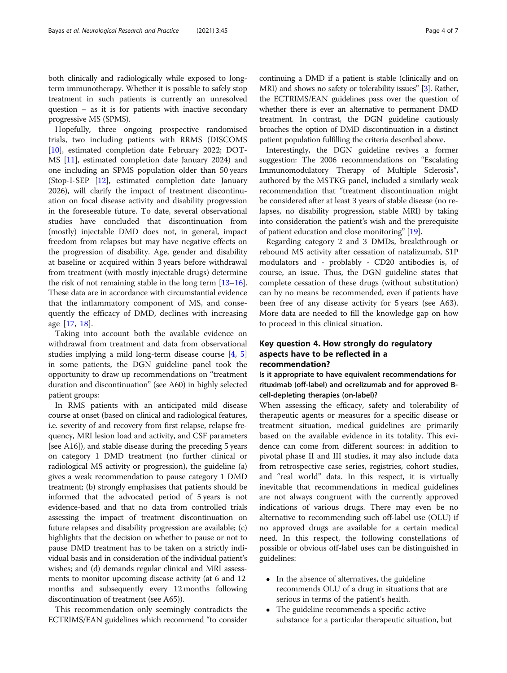both clinically and radiologically while exposed to longterm immunotherapy. Whether it is possible to safely stop treatment in such patients is currently an unresolved question – as it is for patients with inactive secondary progressive MS (SPMS).

Hopefully, three ongoing prospective randomised trials, two including patients with RRMS (DISCOMS [[10\]](#page-6-0), estimated completion date February 2022; DOT-MS [\[11](#page-6-0)], estimated completion date January 2024) and one including an SPMS population older than 50 years (Stop-I-SEP [[12\]](#page-6-0), estimated completion date January 2026), will clarify the impact of treatment discontinuation on focal disease activity and disability progression in the foreseeable future. To date, several observational studies have concluded that discontinuation from (mostly) injectable DMD does not, in general, impact freedom from relapses but may have negative effects on the progression of disability. Age, gender and disability at baseline or acquired within 3 years before withdrawal from treatment (with mostly injectable drugs) determine the risk of not remaining stable in the long term [\[13](#page-6-0)–[16](#page-6-0)]. These data are in accordance with circumstantial evidence that the inflammatory component of MS, and consequently the efficacy of DMD, declines with increasing age [[17,](#page-6-0) [18\]](#page-6-0).

Taking into account both the available evidence on withdrawal from treatment and data from observational studies implying a mild long-term disease course [\[4](#page-6-0), [5](#page-6-0)] in some patients, the DGN guideline panel took the opportunity to draw up recommendations on "treatment duration and discontinuation" (see A60) in highly selected patient groups:

In RMS patients with an anticipated mild disease course at onset (based on clinical and radiological features, i.e. severity of and recovery from first relapse, relapse frequency, MRI lesion load and activity, and CSF parameters [see A16]), and stable disease during the preceding 5 years on category 1 DMD treatment (no further clinical or radiological MS activity or progression), the guideline (a) gives a weak recommendation to pause category 1 DMD treatment; (b) strongly emphasises that patients should be informed that the advocated period of 5 years is not evidence-based and that no data from controlled trials assessing the impact of treatment discontinuation on future relapses and disability progression are available; (c) highlights that the decision on whether to pause or not to pause DMD treatment has to be taken on a strictly individual basis and in consideration of the individual patient's wishes; and (d) demands regular clinical and MRI assessments to monitor upcoming disease activity (at 6 and 12 months and subsequently every 12 months following discontinuation of treatment (see A65)).

This recommendation only seemingly contradicts the ECTRIMS/EAN guidelines which recommend "to consider continuing a DMD if a patient is stable (clinically and on MRI) and shows no safety or tolerability issues" [\[3\]](#page-6-0). Rather, the ECTRIMS/EAN guidelines pass over the question of whether there is ever an alternative to permanent DMD treatment. In contrast, the DGN guideline cautiously broaches the option of DMD discontinuation in a distinct patient population fulfilling the criteria described above.

Interestingly, the DGN guideline revives a former suggestion: The 2006 recommendations on "Escalating Immunomodulatory Therapy of Multiple Sclerosis", authored by the MSTKG panel, included a similarly weak recommendation that "treatment discontinuation might be considered after at least 3 years of stable disease (no relapses, no disability progression, stable MRI) by taking into consideration the patient's wish and the prerequisite of patient education and close monitoring" [\[19](#page-6-0)].

Regarding category 2 and 3 DMDs, breakthrough or rebound MS activity after cessation of natalizumab, S1P modulators and - problably - CD20 antibodies is, of course, an issue. Thus, the DGN guideline states that complete cessation of these drugs (without substitution) can by no means be recommended, even if patients have been free of any disease activity for 5 years (see A63). More data are needed to fill the knowledge gap on how to proceed in this clinical situation.

### Key question 4. How strongly do regulatory aspects have to be reflected in a recommendation?

Is it appropriate to have equivalent recommendations for rituximab (off-label) and ocrelizumab and for approved Bcell-depleting therapies (on-label)?

When assessing the efficacy, safety and tolerability of therapeutic agents or measures for a specific disease or treatment situation, medical guidelines are primarily based on the available evidence in its totality. This evidence can come from different sources: in addition to pivotal phase II and III studies, it may also include data from retrospective case series, registries, cohort studies, and "real world" data. In this respect, it is virtually inevitable that recommendations in medical guidelines are not always congruent with the currently approved indications of various drugs. There may even be no alternative to recommending such off-label use (OLU) if no approved drugs are available for a certain medical need. In this respect, the following constellations of possible or obvious off-label uses can be distinguished in guidelines:

- In the absence of alternatives, the guideline recommends OLU of a drug in situations that are serious in terms of the patient's health.
- The guideline recommends a specific active substance for a particular therapeutic situation, but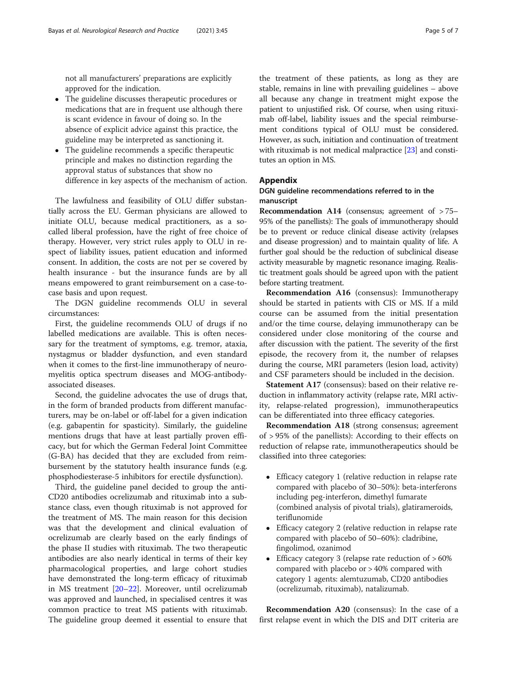<span id="page-4-0"></span>not all manufacturers' preparations are explicitly approved for the indication.

- The guideline discusses therapeutic procedures or medications that are in frequent use although there is scant evidence in favour of doing so. In the absence of explicit advice against this practice, the guideline may be interpreted as sanctioning it.
- The guideline recommends a specific therapeutic principle and makes no distinction regarding the approval status of substances that show no difference in key aspects of the mechanism of action.

The lawfulness and feasibility of OLU differ substantially across the EU. German physicians are allowed to initiate OLU, because medical practitioners, as a socalled liberal profession, have the right of free choice of therapy. However, very strict rules apply to OLU in respect of liability issues, patient education and informed consent. In addition, the costs are not per se covered by health insurance - but the insurance funds are by all means empowered to grant reimbursement on a case-tocase basis and upon request.

The DGN guideline recommends OLU in several circumstances:

First, the guideline recommends OLU of drugs if no labelled medications are available. This is often necessary for the treatment of symptoms, e.g. tremor, ataxia, nystagmus or bladder dysfunction, and even standard when it comes to the first-line immunotherapy of neuromyelitis optica spectrum diseases and MOG-antibodyassociated diseases.

Second, the guideline advocates the use of drugs that, in the form of branded products from different manufacturers, may be on-label or off-label for a given indication (e.g. gabapentin for spasticity). Similarly, the guideline mentions drugs that have at least partially proven efficacy, but for which the German Federal Joint Committee (G-BA) has decided that they are excluded from reimbursement by the statutory health insurance funds (e.g. phosphodiesterase-5 inhibitors for erectile dysfunction).

Third, the guideline panel decided to group the anti-CD20 antibodies ocrelizumab and rituximab into a substance class, even though rituximab is not approved for the treatment of MS. The main reason for this decision was that the development and clinical evaluation of ocrelizumab are clearly based on the early findings of the phase II studies with rituximab. The two therapeutic antibodies are also nearly identical in terms of their key pharmacological properties, and large cohort studies have demonstrated the long-term efficacy of rituximab in MS treatment [\[20](#page-6-0)–[22\]](#page-6-0). Moreover, until ocrelizumab was approved and launched, in specialised centres it was common practice to treat MS patients with rituximab. The guideline group deemed it essential to ensure that

the treatment of these patients, as long as they are stable, remains in line with prevailing guidelines – above all because any change in treatment might expose the patient to unjustified risk. Of course, when using rituximab off-label, liability issues and the special reimbursement conditions typical of OLU must be considered. However, as such, initiation and continuation of treatment with rituximab is not medical malpractice [\[23\]](#page-6-0) and constitutes an option in MS.

### Appendix

### DGN guideline recommendations referred to in the manuscript

Recommendation A14 (consensus; agreement of > 75– 95% of the panellists): The goals of immunotherapy should be to prevent or reduce clinical disease activity (relapses and disease progression) and to maintain quality of life. A further goal should be the reduction of subclinical disease activity measurable by magnetic resonance imaging. Realistic treatment goals should be agreed upon with the patient before starting treatment.

Recommendation A16 (consensus): Immunotherapy should be started in patients with CIS or MS. If a mild course can be assumed from the initial presentation and/or the time course, delaying immunotherapy can be considered under close monitoring of the course and after discussion with the patient. The severity of the first episode, the recovery from it, the number of relapses during the course, MRI parameters (lesion load, activity) and CSF parameters should be included in the decision.

Statement A17 (consensus): based on their relative reduction in inflammatory activity (relapse rate, MRI activity, relapse-related progression), immunotherapeutics can be differentiated into three efficacy categories.

Recommendation A18 (strong consensus; agreement of > 95% of the panellists): According to their effects on reduction of relapse rate, immunotherapeutics should be classified into three categories:

- Efficacy category 1 (relative reduction in relapse rate compared with placebo of 30–50%): beta-interferons including peg-interferon, dimethyl fumarate (combined analysis of pivotal trials), glatirameroids, teriflunomide
- Efficacy category 2 (relative reduction in relapse rate compared with placebo of 50–60%): cladribine, fingolimod, ozanimod
- Efficacy category 3 (relapse rate reduction of > 60% compared with placebo or > 40% compared with category 1 agents: alemtuzumab, CD20 antibodies (ocrelizumab, rituximab), natalizumab.

Recommendation A20 (consensus): In the case of a first relapse event in which the DIS and DIT criteria are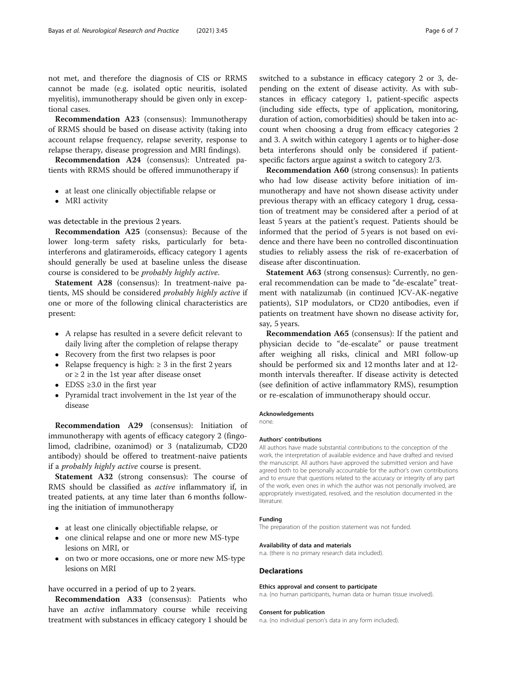not met, and therefore the diagnosis of CIS or RRMS cannot be made (e.g. isolated optic neuritis, isolated myelitis), immunotherapy should be given only in exceptional cases.

Recommendation A23 (consensus): Immunotherapy of RRMS should be based on disease activity (taking into account relapse frequency, relapse severity, response to relapse therapy, disease progression and MRI findings).

Recommendation A24 (consensus): Untreated patients with RRMS should be offered immunotherapy if

- at least one clinically objectifiable relapse or
- MRI activity

was detectable in the previous 2 years.

Recommendation A25 (consensus): Because of the lower long-term safety risks, particularly for betainterferons and glatirameroids, efficacy category 1 agents should generally be used at baseline unless the disease course is considered to be probably highly active.

Statement A28 (consensus): In treatment-naive patients, MS should be considered probably highly active if one or more of the following clinical characteristics are present:

- A relapse has resulted in a severe deficit relevant to daily living after the completion of relapse therapy
- Recovery from the first two relapses is poor
- Relapse frequency is high:  $\geq 3$  in the first 2 years or  $\geq$  2 in the 1st year after disease onset
- $\bullet$  EDSS  $\geq 3.0$  in the first year
- Pyramidal tract involvement in the 1st year of the disease

Recommendation A29 (consensus): Initiation of immunotherapy with agents of efficacy category 2 (fingolimod, cladribine, ozanimod) or 3 (natalizumab, CD20 antibody) should be offered to treatment-naive patients if a probably highly active course is present.

Statement A32 (strong consensus): The course of RMS should be classified as active inflammatory if, in treated patients, at any time later than 6 months following the initiation of immunotherapy

- at least one clinically objectifiable relapse, or
- one clinical relapse and one or more new MS-type lesions on MRI, or
- on two or more occasions, one or more new MS-type lesions on MRI

### have occurred in a period of up to 2 years.

Recommendation A33 (consensus): Patients who have an *active* inflammatory course while receiving treatment with substances in efficacy category 1 should be switched to a substance in efficacy category 2 or 3, depending on the extent of disease activity. As with substances in efficacy category 1, patient-specific aspects (including side effects, type of application, monitoring, duration of action, comorbidities) should be taken into account when choosing a drug from efficacy categories 2 and 3. A switch within category 1 agents or to higher-dose beta interferons should only be considered if patientspecific factors argue against a switch to category 2/3.

Recommendation A60 (strong consensus): In patients who had low disease activity before initiation of immunotherapy and have not shown disease activity under previous therapy with an efficacy category 1 drug, cessation of treatment may be considered after a period of at least 5 years at the patient's request. Patients should be informed that the period of 5 years is not based on evidence and there have been no controlled discontinuation studies to reliably assess the risk of re-exacerbation of disease after discontinuation.

Statement A63 (strong consensus): Currently, no general recommendation can be made to "de-escalate" treatment with natalizumab (in continued JCV-AK-negative patients), S1P modulators, or CD20 antibodies, even if patients on treatment have shown no disease activity for, say, 5 years.

Recommendation A65 (consensus): If the patient and physician decide to "de-escalate" or pause treatment after weighing all risks, clinical and MRI follow-up should be performed six and 12 months later and at 12 month intervals thereafter. If disease activity is detected (see definition of active inflammatory RMS), resumption or re-escalation of immunotherapy should occur.

#### Acknowledgements

none.

#### Authors' contributions

All authors have made substantial contributions to the conception of the work, the interpretation of available evidence and have drafted and revised the manuscript. All authors have approved the submitted version and have agreed both to be personally accountable for the author's own contributions and to ensure that questions related to the accuracy or integrity of any part of the work, even ones in which the author was not personally involved, are appropriately investigated, resolved, and the resolution documented in the literature.

#### Funding

The preparation of the position statement was not funded.

#### Availability of data and materials

n.a. (there is no primary research data included).

#### Declarations

#### Ethics approval and consent to participate

n.a. (no human participants, human data or human tissue involved).

#### Consent for publication

n.a. (no individual person's data in any form included).